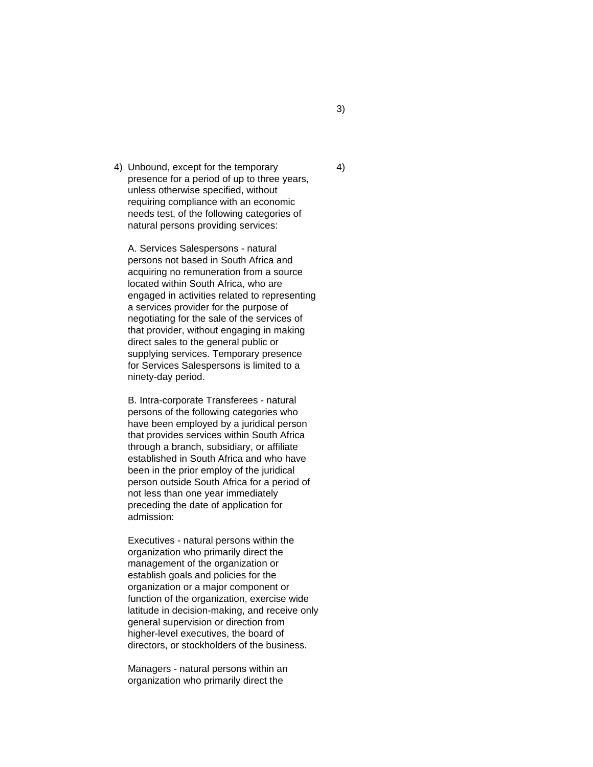4) Unbound, except for the temporary 4) presence for a period of up to three years, unless otherwise specified, without requiring compliance with an economic needs test, of the following categories of natural persons providing services:

A. Services Salespersons - natural persons not based in South Africa and acquiring no remuneration from a source located within South Africa, who are engaged in activities related to representing a services provider for the purpose of negotiating for the sale of the services of that provider, without engaging in making direct sales to the general public or supplying services. Temporary presence for Services Salespersons is limited to a ninety-day period.

B. Intra-corporate Transferees - natural persons of the following categories who have been employed by a juridical person that provides services within South Africa through a branch, subsidiary, or affiliate established in South Africa and who have been in the prior employ of the juridical person outside South Africa for a period of not less than one year immediately preceding the date of application for admission:

Executives - natural persons within the organization who primarily direct the management of the organization or establish goals and policies for the organization or a major component or function of the organization, exercise wide latitude in decision-making, and receive only general supervision or direction from higher-level executives, the board of directors, or stockholders of the business.

Managers - natural persons within an organization who primarily direct the

3)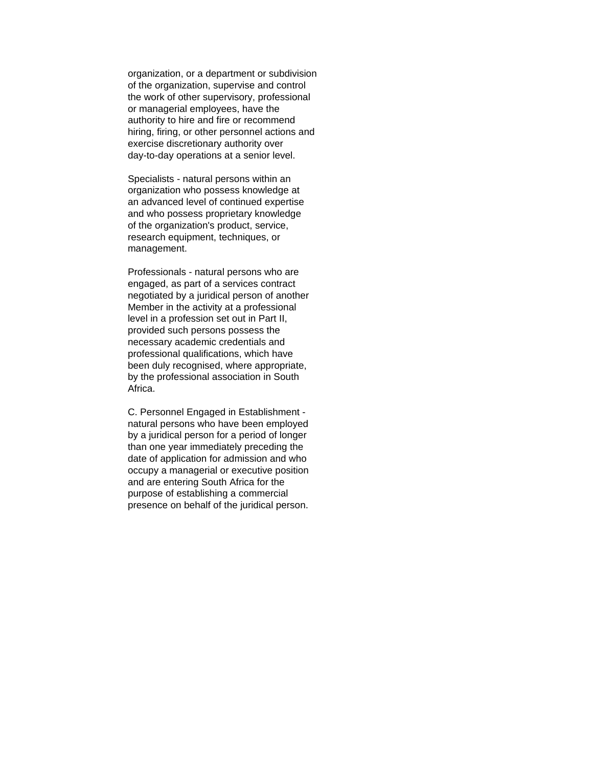organization, or a department or subdivision of the organization, supervise and control the work of other supervisory, professional or managerial employees, have the authority to hire and fire or recommend hiring, firing, or other personnel actions and exercise discretionary authority over day-to-day operations at a senior level.

Specialists - natural persons within an organization who possess knowledge at an advanced level of continued expertise and who possess proprietary knowledge of the organization's product, service, research equipment, techniques, or management.

Professionals - natural persons who are engaged, as part of a services contract negotiated by a juridical person of another Member in the activity at a professional level in a profession set out in Part II, provided such persons possess the necessary academic credentials and professional qualifications, which have been duly recognised, where appropriate, by the professional association in South Africa.

C. Personnel Engaged in Establishment natural persons who have been employed by a juridical person for a period of longer than one year immediately preceding the date of application for admission and who occupy a managerial or executive position and are entering South Africa for the purpose of establishing a commercial presence on behalf of the juridical person.